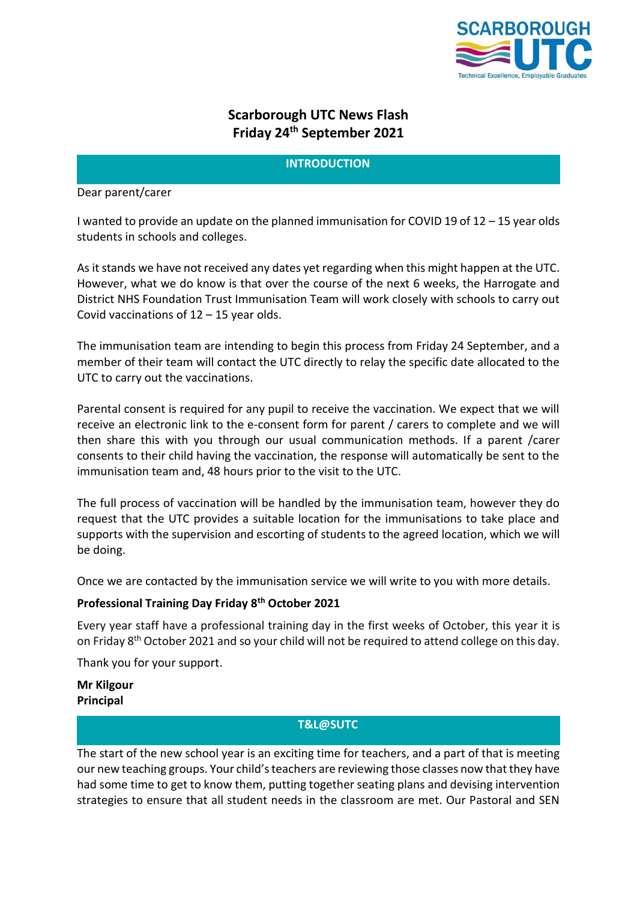

# **Scarborough UTC News Flash Friday 24th September 2021**

## **INTRODUCTION**

Dear parent/carer

I wanted to provide an update on the planned immunisation for COVID 19 of 12 – 15 year olds students in schools and colleges.

As it stands we have not received any dates yet regarding when this might happen at the UTC. However, what we do know is that over the course of the next 6 weeks, the Harrogate and District NHS Foundation Trust Immunisation Team will work closely with schools to carry out Covid vaccinations of  $12 - 15$  year olds.

The immunisation team are intending to begin this process from Friday 24 September, and a member of their team will contact the UTC directly to relay the specific date allocated to the UTC to carry out the vaccinations.

Parental consent is required for any pupil to receive the vaccination. We expect that we will receive an electronic link to the e-consent form for parent / carers to complete and we will then share this with you through our usual communication methods. If a parent /carer consents to their child having the vaccination, the response will automatically be sent to the immunisation team and, 48 hours prior to the visit to the UTC.

The full process of vaccination will be handled by the immunisation team, however they do request that the UTC provides a suitable location for the immunisations to take place and supports with the supervision and escorting of students to the agreed location, which we will be doing.

Once we are contacted by the immunisation service we will write to you with more details.

## **Professional Training Day Friday 8th October 2021**

Every year staff have a professional training day in the first weeks of October, this year it is on Friday 8<sup>th</sup> October 2021 and so your child will not be required to attend college on this day.

Thank you for your support.

**Mr Kilgour Principal**

## **T&L@SUTC**

The start of the new school year is an exciting time for teachers, and a part of that is meeting our new teaching groups. Your child's teachers are reviewing those classes now that they have had some time to get to know them, putting together seating plans and devising intervention strategies to ensure that all student needs in the classroom are met. Our Pastoral and SEN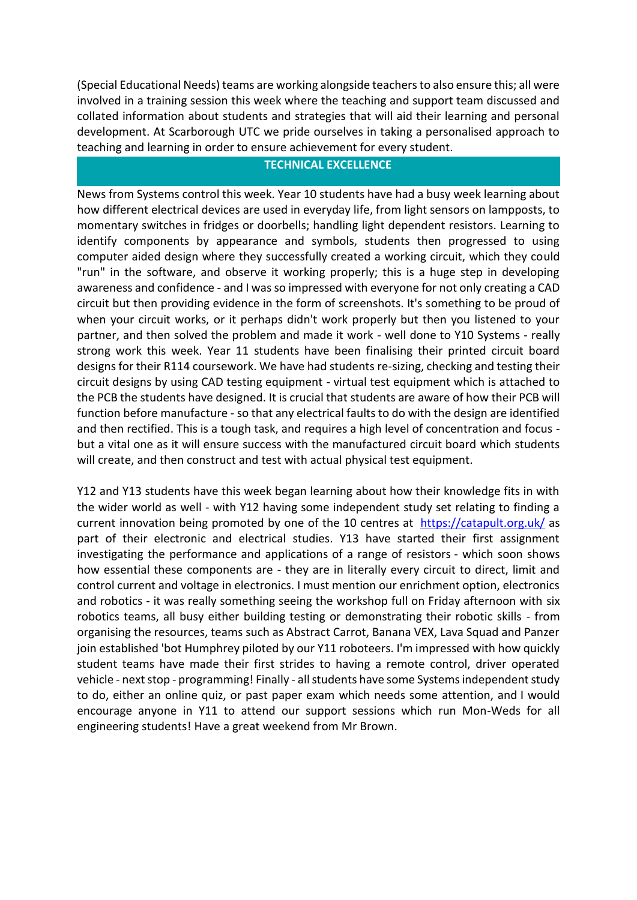(Special Educational Needs) teams are working alongside teachers to also ensure this; all were involved in a training session this week where the teaching and support team discussed and collated information about students and strategies that will aid their learning and personal development. At Scarborough UTC we pride ourselves in taking a personalised approach to teaching and learning in order to ensure achievement for every student.

## **TECHNICAL EXCELLENCE**

News from Systems control this week. Year 10 students have had a busy week learning about how different electrical devices are used in everyday life, from light sensors on lampposts, to momentary switches in fridges or doorbells; handling light dependent resistors. Learning to identify components by appearance and symbols, students then progressed to using computer aided design where they successfully created a working circuit, which they could "run" in the software, and observe it working properly; this is a huge step in developing awareness and confidence - and I was so impressed with everyone for not only creating a CAD circuit but then providing evidence in the form of screenshots. It's something to be proud of when your circuit works, or it perhaps didn't work properly but then you listened to your partner, and then solved the problem and made it work - well done to Y10 Systems - really strong work this week. Year 11 students have been finalising their printed circuit board designs for their R114 coursework. We have had students re-sizing, checking and testing their circuit designs by using CAD testing equipment - virtual test equipment which is attached to the PCB the students have designed. It is crucial that students are aware of how their PCB will function before manufacture - so that any electrical faults to do with the design are identified and then rectified. This is a tough task, and requires a high level of concentration and focus but a vital one as it will ensure success with the manufactured circuit board which students will create, and then construct and test with actual physical test equipment.

Y12 and Y13 students have this week began learning about how their knowledge fits in with the wider world as well - with Y12 having some independent study set relating to finding a current innovation being promoted by one of the 10 centres at <https://catapult.org.uk/> as part of their electronic and electrical studies. Y13 have started their first assignment investigating the performance and applications of a range of resistors - which soon shows how essential these components are - they are in literally every circuit to direct, limit and control current and voltage in electronics. I must mention our enrichment option, electronics and robotics - it was really something seeing the workshop full on Friday afternoon with six robotics teams, all busy either building testing or demonstrating their robotic skills - from organising the resources, teams such as Abstract Carrot, Banana VEX, Lava Squad and Panzer join established 'bot Humphrey piloted by our Y11 roboteers. I'm impressed with how quickly student teams have made their first strides to having a remote control, driver operated vehicle - next stop - programming! Finally - all students have some Systems independent study to do, either an online quiz, or past paper exam which needs some attention, and I would encourage anyone in Y11 to attend our support sessions which run Mon-Weds for all engineering students! Have a great weekend from Mr Brown.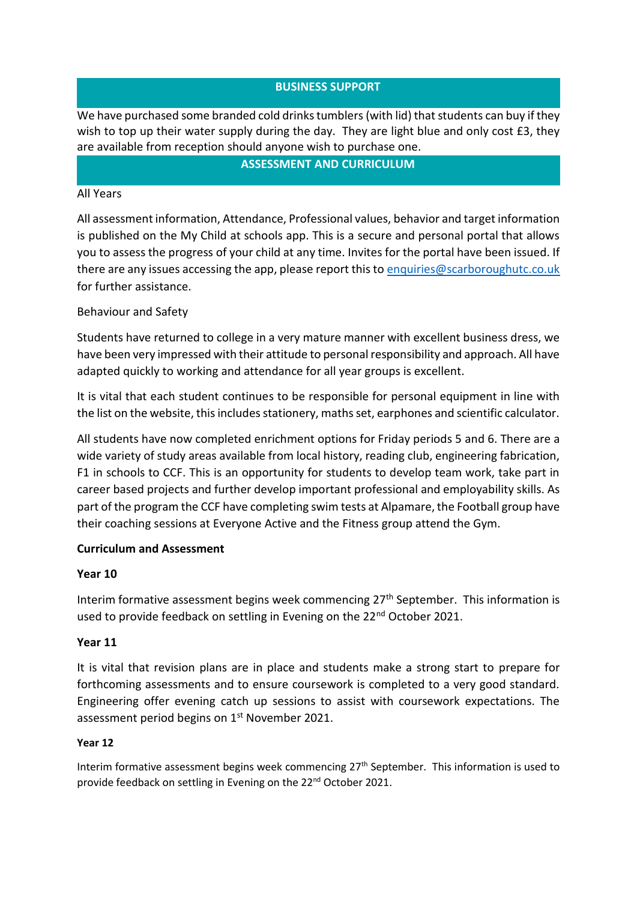## **BUSINESS SUPPORT**

We have purchased some branded cold drinks tumblers (with lid) that students can buy if they wish to top up their water supply during the day. They are light blue and only cost £3, they are available from reception should anyone wish to purchase one.

#### **ASSESSMENT AND CURRICULUM**

#### All Years

All assessment information, Attendance, Professional values, behavior and target information is published on the My Child at schools app. This is a secure and personal portal that allows you to assess the progress of your child at any time. Invites for the portal have been issued. If there are any issues accessing the app, please report this t[o enquiries@scarboroughutc.co.uk](mailto:enquiries@scarboroughutc.co.uk)  for further assistance.

#### Behaviour and Safety

Students have returned to college in a very mature manner with excellent business dress, we have been very impressed with their attitude to personal responsibility and approach. All have adapted quickly to working and attendance for all year groups is excellent.

It is vital that each student continues to be responsible for personal equipment in line with the list on the website, this includes stationery, maths set, earphones and scientific calculator.

All students have now completed enrichment options for Friday periods 5 and 6. There are a wide variety of study areas available from local history, reading club, engineering fabrication, F1 in schools to CCF. This is an opportunity for students to develop team work, take part in career based projects and further develop important professional and employability skills. As part of the program the CCF have completing swim tests at Alpamare, the Football group have their coaching sessions at Everyone Active and the Fitness group attend the Gym.

#### **Curriculum and Assessment**

#### **Year 10**

Interim formative assessment begins week commencing 27<sup>th</sup> September. This information is used to provide feedback on settling in Evening on the 22<sup>nd</sup> October 2021.

#### **Year 11**

It is vital that revision plans are in place and students make a strong start to prepare for forthcoming assessments and to ensure coursework is completed to a very good standard. Engineering offer evening catch up sessions to assist with coursework expectations. The assessment period begins on 1<sup>st</sup> November 2021.

#### **Year 12**

Interim formative assessment begins week commencing  $27<sup>th</sup>$  September. This information is used to provide feedback on settling in Evening on the 22<sup>nd</sup> October 2021.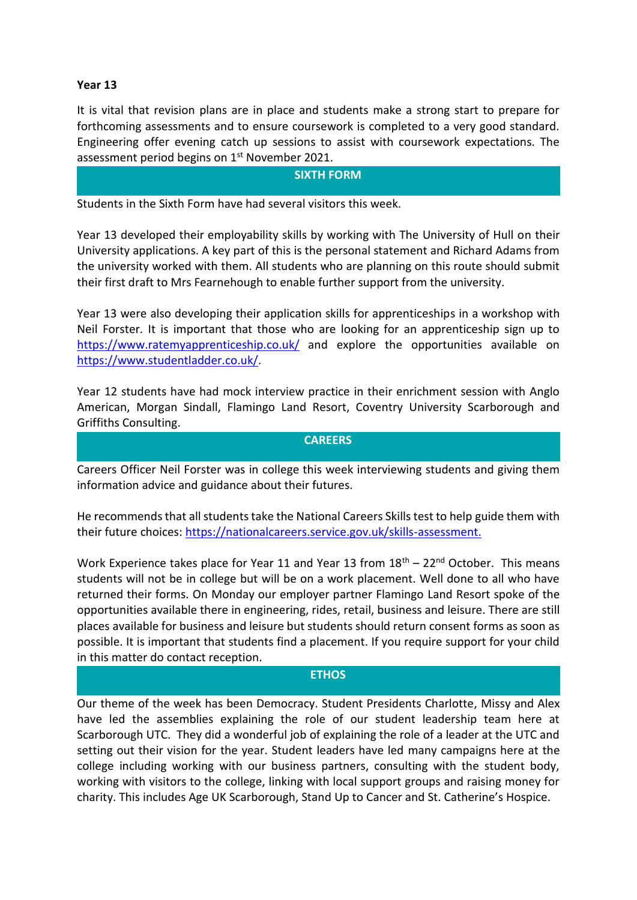#### **Year 13**

It is vital that revision plans are in place and students make a strong start to prepare for forthcoming assessments and to ensure coursework is completed to a very good standard. Engineering offer evening catch up sessions to assist with coursework expectations. The assessment period begins on 1<sup>st</sup> November 2021.

#### **SIXTH FORM**

Students in the Sixth Form have had several visitors this week.

Year 13 developed their employability skills by working with The University of Hull on their University applications. A key part of this is the personal statement and Richard Adams from the university worked with them. All students who are planning on this route should submit their first draft to Mrs Fearnehough to enable further support from the university.

Year 13 were also developing their application skills for apprenticeships in a workshop with Neil Forster. It is important that those who are looking for an apprenticeship sign up to <https://www.ratemyapprenticeship.co.uk/> and explore the opportunities available on [https://www.studentladder.co.uk/.](https://www.studentladder.co.uk/)

Year 12 students have had mock interview practice in their enrichment session with Anglo American, Morgan Sindall, Flamingo Land Resort, Coventry University Scarborough and Griffiths Consulting.

### **CAREERS**

Careers Officer Neil Forster was in college this week interviewing students and giving them information advice and guidance about their futures.

He recommends that all students take the National Careers Skills test to help guide them with their future choices: [https://nationalcareers.service.gov.uk/skills-assessment.](https://nationalcareers.service.gov.uk/skills-assessment)

Work Experience takes place for Year 11 and Year 13 from  $18<sup>th</sup> - 22<sup>nd</sup>$  October. This means students will not be in college but will be on a work placement. Well done to all who have returned their forms. On Monday our employer partner Flamingo Land Resort spoke of the opportunities available there in engineering, rides, retail, business and leisure. There are still places available for business and leisure but students should return consent forms as soon as possible. It is important that students find a placement. If you require support for your child in this matter do contact reception.

#### **ETHOS**

Our theme of the week has been Democracy. Student Presidents Charlotte, Missy and Alex have led the assemblies explaining the role of our student leadership team here at Scarborough UTC. They did a wonderful job of explaining the role of a leader at the UTC and setting out their vision for the year. Student leaders have led many campaigns here at the college including working with our business partners, consulting with the student body, working with visitors to the college, linking with local support groups and raising money for charity. This includes Age UK Scarborough, Stand Up to Cancer and St. Catherine's Hospice.